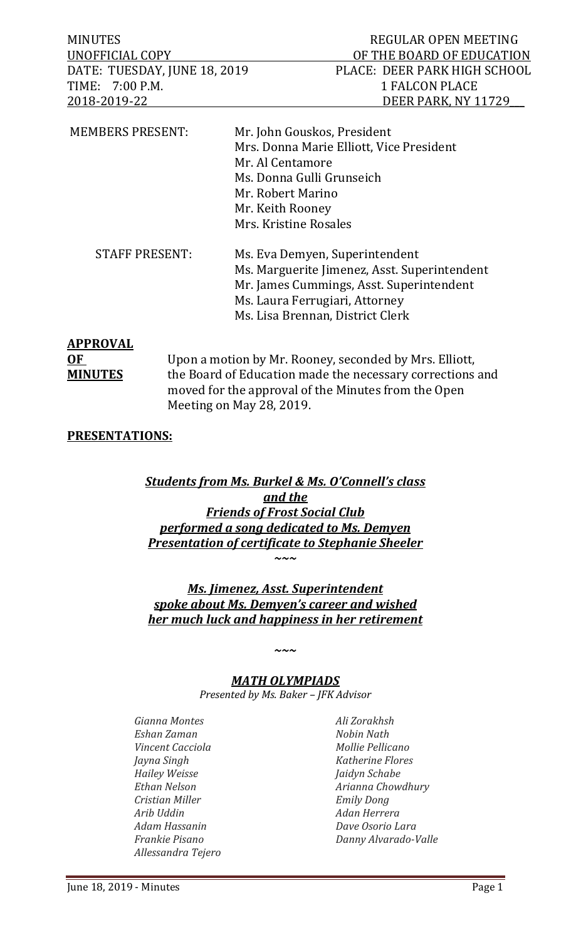DATE: TUESDAY, JUNE 18, 2019<br>TIME: 7:00 P.M. 1990 1 FALCON PLACE TIME: 7:00 P.M.<br>2018-2019-22

| <b>MEMBERS PRESENT:</b> | Mr. John Gouskos, President<br>Mrs. Donna Marie Elliott, Vice President<br>Mr. Al Centamore<br>Ms. Donna Gulli Grunseich<br>Mr. Robert Marino<br>Mr. Keith Rooney<br>Mrs. Kristine Rosales       |
|-------------------------|--------------------------------------------------------------------------------------------------------------------------------------------------------------------------------------------------|
| <b>STAFF PRESENT:</b>   | Ms. Eva Demyen, Superintendent<br>Ms. Marguerite Jimenez, Asst. Superintendent<br>Mr. James Cummings, Asst. Superintendent<br>Ms. Laura Ferrugiari, Attorney<br>Ms. Lisa Brennan, District Clerk |

# **APPROVAL**

**OF** Upon a motion by Mr. Rooney, seconded by Mrs. Elliott,<br> **MINUTES** the Board of Education made the necessary corrections the Board of Education made the necessary corrections and moved for the approval of the Minutes from the Open Meeting on May 28, 2019.

# **PRESENTATIONS:**

## *Students from Ms. Burkel & Ms. O'Connell's class and the Friends of Frost Social Club performed a song dedicated to Ms. Demyen Presentation of certificate to Stephanie Sheeler ~~~*

# *Ms. Jimenez, Asst. Superintendent spoke about Ms. Demyen's career and wished her much luck and happiness in her retirement*

# *MATH OLYMPIADS*

*~~~*

*Presented by Ms. Baker – JFK Advisor*

*Gianna Montes Ali Zorakhsh Eshan Zaman Nobin Nath Vincent Cacciola Mollie Pellicano Jayna Singh Katherine Flores Hailey Weisse Jaidyn Schabe Cristian Miller Emily Dong Arib Uddin Adan Herrera Adam Hassanin Dave Osorio Lara Allessandra Tejero*

*Ethan Nelson Arianna Chowdhury Frankie Pisano Danny Alvarado-Valle*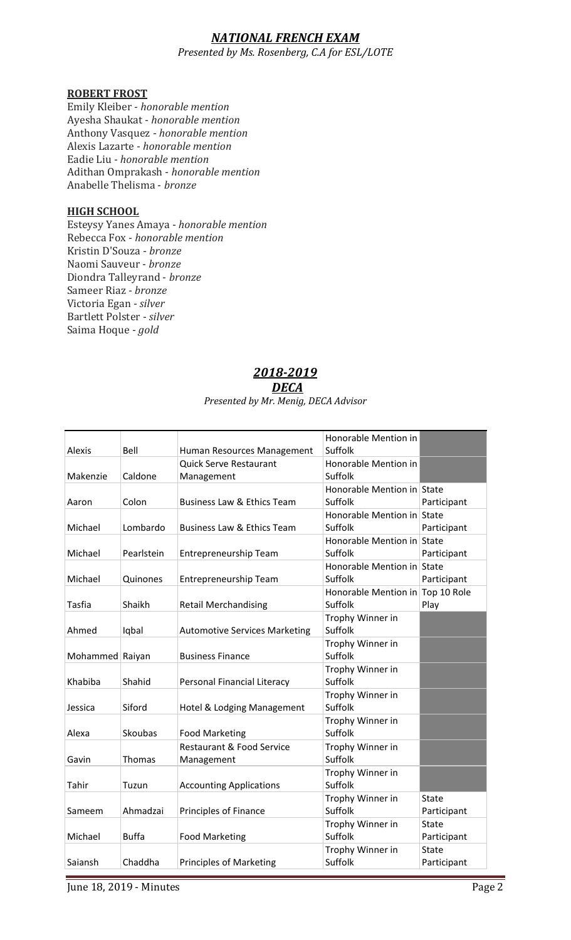# *NATIONAL FRENCH EXAM*

*Presented by Ms. Rosenberg, C.A for ESL/LOTE*

#### **ROBERT FROST**

Emily Kleiber - *honorable mention* Ayesha Shaukat - *honorable mention* Anthony Vasquez - *honorable mention* Alexis Lazarte - *honorable mention* Eadie Liu - *honorable mention* Adithan Omprakash - *honorable mention* Anabelle Thelisma - *bronze*

#### **HIGH SCHOOL**

Esteysy Yanes Amaya - *honorable mention* Rebecca Fox - *honorable mention* Kristin D'Souza - *bronze* Naomi Sauveur - *bronze* Diondra Talleyrand - *bronze* Sameer Riaz - *bronze* Victoria Egan - *silver* Bartlett Polster - *silver* Saima Hoque - *gold*

# *2018-2019*

#### *DECA*

#### *Presented by Mr. Menig, DECA Advisor*

| Alexis          | Bell           | Human Resources Management            | Honorable Mention in<br>Suffolk  |              |
|-----------------|----------------|---------------------------------------|----------------------------------|--------------|
|                 |                | <b>Quick Serve Restaurant</b>         | Honorable Mention in             |              |
| Makenzie        | Caldone        | Management                            | Suffolk                          |              |
|                 |                |                                       | Honorable Mention in State       |              |
| Aaron           | Colon          | <b>Business Law &amp; Ethics Team</b> | Suffolk                          | Participant  |
|                 |                |                                       | Honorable Mention in State       |              |
| Michael         | Lombardo       | <b>Business Law &amp; Ethics Team</b> | Suffolk                          | Participant  |
|                 |                |                                       | Honorable Mention in State       |              |
| Michael         | Pearlstein     | Entrepreneurship Team                 | Suffolk                          | Participant  |
|                 |                |                                       | Honorable Mention in State       |              |
| Michael         | Quinones       | Entrepreneurship Team                 | Suffolk                          | Participant  |
|                 |                |                                       | Honorable Mention in Top 10 Role |              |
| <b>Tasfia</b>   | Shaikh         | <b>Retail Merchandising</b>           | Suffolk                          | Play         |
|                 |                |                                       | Trophy Winner in                 |              |
| Ahmed           | Iqbal          | <b>Automotive Services Marketing</b>  | Suffolk                          |              |
|                 |                |                                       | Trophy Winner in                 |              |
| Mohammed Raiyan |                | <b>Business Finance</b>               | Suffolk                          |              |
|                 |                |                                       | Trophy Winner in                 |              |
| Khabiba         | Shahid         | Personal Financial Literacy           | Suffolk                          |              |
|                 |                |                                       | Trophy Winner in                 |              |
| Jessica         | Siford         | Hotel & Lodging Management            | Suffolk                          |              |
|                 |                |                                       | Trophy Winner in                 |              |
| Alexa           | <b>Skoubas</b> | <b>Food Marketing</b>                 | Suffolk                          |              |
|                 |                | <b>Restaurant &amp; Food Service</b>  | Trophy Winner in                 |              |
| Gavin           | <b>Thomas</b>  | Management                            | Suffolk                          |              |
|                 |                |                                       | Trophy Winner in                 |              |
| Tahir           | Tuzun          | <b>Accounting Applications</b>        | Suffolk                          |              |
|                 |                |                                       | Trophy Winner in                 | <b>State</b> |
| Sameem          | Ahmadzai       | Principles of Finance                 | Suffolk                          | Participant  |
|                 |                |                                       | Trophy Winner in                 | <b>State</b> |
| Michael         | <b>Buffa</b>   | <b>Food Marketing</b>                 | Suffolk                          | Participant  |
|                 |                |                                       | Trophy Winner in                 | <b>State</b> |
| Saiansh         | Chaddha        | <b>Principles of Marketing</b>        | Suffolk                          | Participant  |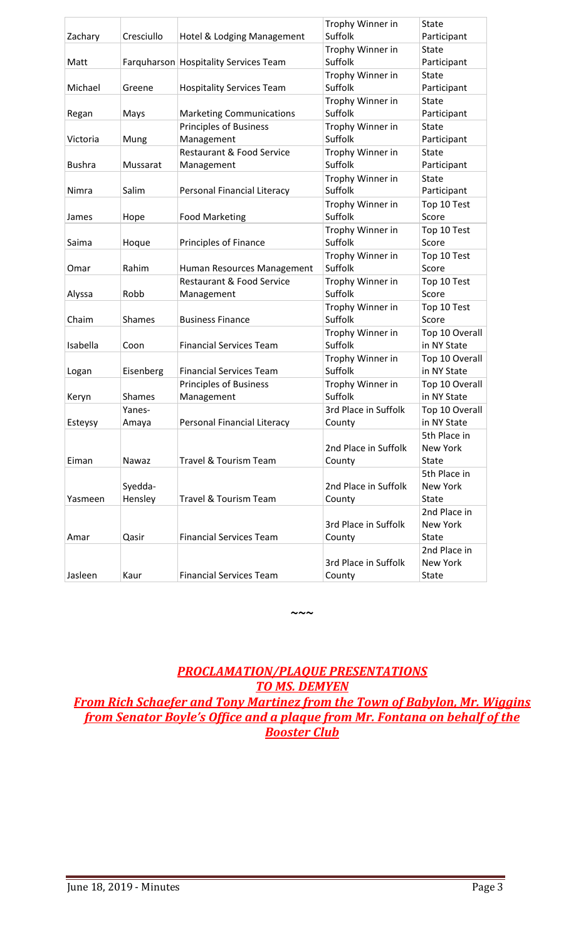| Zachary       | Cresciullo    | Hotel & Lodging Management            | Trophy Winner in<br>Suffolk | State<br>Participant |
|---------------|---------------|---------------------------------------|-----------------------------|----------------------|
|               |               |                                       | Trophy Winner in            | <b>State</b>         |
| Matt          |               | Farquharson Hospitality Services Team | Suffolk                     | Participant          |
|               |               |                                       | Trophy Winner in            | State                |
| Michael       | Greene        | <b>Hospitality Services Team</b>      | Suffolk                     | Participant          |
|               |               |                                       | Trophy Winner in            | <b>State</b>         |
| Regan         | Mays          | <b>Marketing Communications</b>       | Suffolk                     | Participant          |
|               |               | <b>Principles of Business</b>         | Trophy Winner in            | <b>State</b>         |
| Victoria      | Mung          | Management                            | Suffolk                     | Participant          |
|               |               | <b>Restaurant &amp; Food Service</b>  | Trophy Winner in            | State                |
| <b>Bushra</b> | Mussarat      | Management                            | Suffolk                     | Participant          |
|               |               |                                       | Trophy Winner in            | <b>State</b>         |
| Nimra         | Salim         | Personal Financial Literacy           | Suffolk                     | Participant          |
|               |               |                                       | Trophy Winner in            | Top 10 Test          |
| James         | Hope          | <b>Food Marketing</b>                 | Suffolk                     | Score                |
|               |               |                                       | Trophy Winner in            | Top 10 Test          |
| Saima         | Hoque         | Principles of Finance                 | Suffolk                     | Score                |
|               |               |                                       | Trophy Winner in            | Top 10 Test          |
| Omar          | Rahim         | Human Resources Management            | Suffolk                     | Score                |
|               |               | <b>Restaurant &amp; Food Service</b>  | Trophy Winner in            | Top 10 Test          |
| Alyssa        | Robb          | Management                            | Suffolk                     | Score                |
| Chaim         | <b>Shames</b> | <b>Business Finance</b>               | Trophy Winner in<br>Suffolk | Top 10 Test<br>Score |
|               |               |                                       | Trophy Winner in            | Top 10 Overall       |
| Isabella      | Coon          | <b>Financial Services Team</b>        | Suffolk                     | in NY State          |
|               |               |                                       | Trophy Winner in            | Top 10 Overall       |
| Logan         | Eisenberg     | <b>Financial Services Team</b>        | Suffolk                     | in NY State          |
|               |               | <b>Principles of Business</b>         | Trophy Winner in            | Top 10 Overall       |
| Keryn         | <b>Shames</b> | Management                            | Suffolk                     | in NY State          |
|               | Yanes-        |                                       | 3rd Place in Suffolk        | Top 10 Overall       |
| Esteysy       | Amaya         | Personal Financial Literacy           | County                      | in NY State          |
|               |               |                                       |                             | 5th Place in         |
|               |               |                                       | 2nd Place in Suffolk        | New York             |
| Eiman         | Nawaz         | <b>Travel &amp; Tourism Team</b>      | County                      | <b>State</b>         |
|               |               |                                       |                             | 5th Place in         |
|               | Syedda-       |                                       | 2nd Place in Suffolk        | New York             |
| Yasmeen       | Hensley       | Travel & Tourism Team                 | County                      | <b>State</b>         |
|               |               |                                       |                             | 2nd Place in         |
|               |               |                                       | 3rd Place in Suffolk        | New York             |
| Amar          | Qasir         | <b>Financial Services Team</b>        | County                      | State                |
|               |               |                                       |                             | 2nd Place in         |
|               |               |                                       | 3rd Place in Suffolk        | <b>New York</b>      |
| Jasleen       | Kaur          | <b>Financial Services Team</b>        | County                      | <b>State</b>         |

*PROCLAMATION/PLAQUE PRESENTATIONS TO MS. DEMYEN From Rich Schaefer and Tony Martinez from the Town of Babylon, Mr. Wiggins from Senator Boyle's Office and a plaque from Mr. Fontana on behalf of the Booster Club*

**~~~**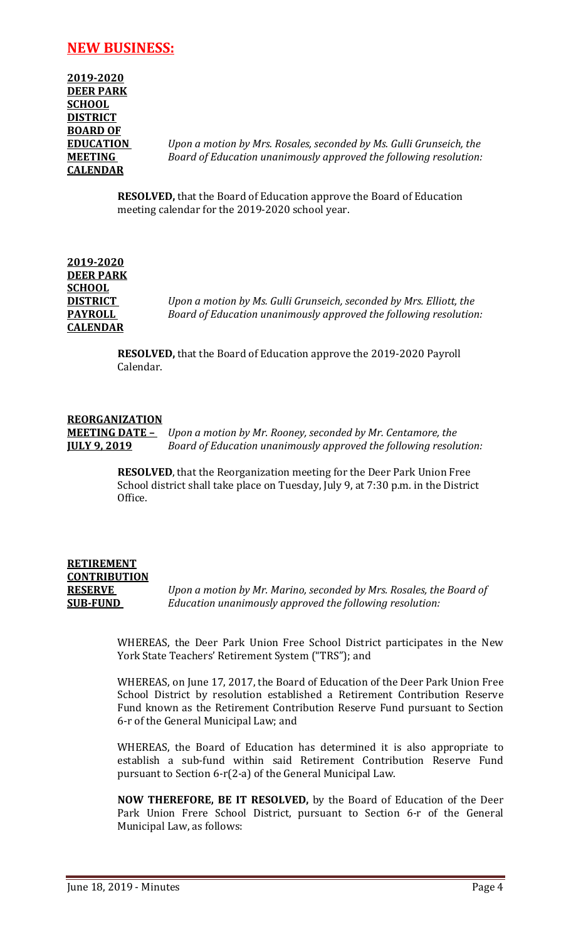# **NEW BUSINESS:**

| 2019-2020        |
|------------------|
| <b>DEER PARK</b> |
| <b>SCHOOL</b>    |
| <b>DISTRICT</b>  |
| <b>BOARD OF</b>  |
| <b>EDUCATION</b> |
| <b>MEETING</b>   |
| <b>CALENDAR</b>  |
|                  |

*Upon a motion by Mrs. Rosales, seconded by Ms. Gulli Grunseich, the* **Board of Education unanimously approved the following resolution:** 

**RESOLVED,** that the Board of Education approve the Board of Education meeting calendar for the 2019-2020 school year.

**2019-2020 DEER PARK SCHOOL CALENDAR**

*Upon a motion by Ms. Gulli Grunseich, seconded by Mrs. Elliott, the* **PAYROLL** *Board of Education unanimously approved the following resolution:*

> **RESOLVED,** that the Board of Education approve the 2019-2020 Payroll Calendar.

#### **REORGANIZATION**

**MEETING DATE –** *Upon a motion by Mr. Rooney, seconded by Mr. Centamore, the*  **JULY 9, 2019** *Board of Education unanimously approved the following resolution:*

> **RESOLVED**, that the Reorganization meeting for the Deer Park Union Free School district shall take place on Tuesday, July 9, at 7:30 p.m. in the District Office.

# **RETIREMENT CONTRIBUTION**

**RESERVE** *Upon a motion by Mr. Marino, seconded by Mrs. Rosales, the Board of*  **SUB-FUND** *Education unanimously approved the following resolution:*

> WHEREAS, the Deer Park Union Free School District participates in the New York State Teachers' Retirement System ("TRS"); and

> WHEREAS, on June 17, 2017, the Board of Education of the Deer Park Union Free School District by resolution established a Retirement Contribution Reserve Fund known as the Retirement Contribution Reserve Fund pursuant to Section 6-r of the General Municipal Law; and

> WHEREAS, the Board of Education has determined it is also appropriate to establish a sub-fund within said Retirement Contribution Reserve Fund pursuant to Section 6-r(2-a) of the General Municipal Law.

> **NOW THEREFORE, BE IT RESOLVED,** by the Board of Education of the Deer Park Union Frere School District, pursuant to Section 6-r of the General Municipal Law, as follows: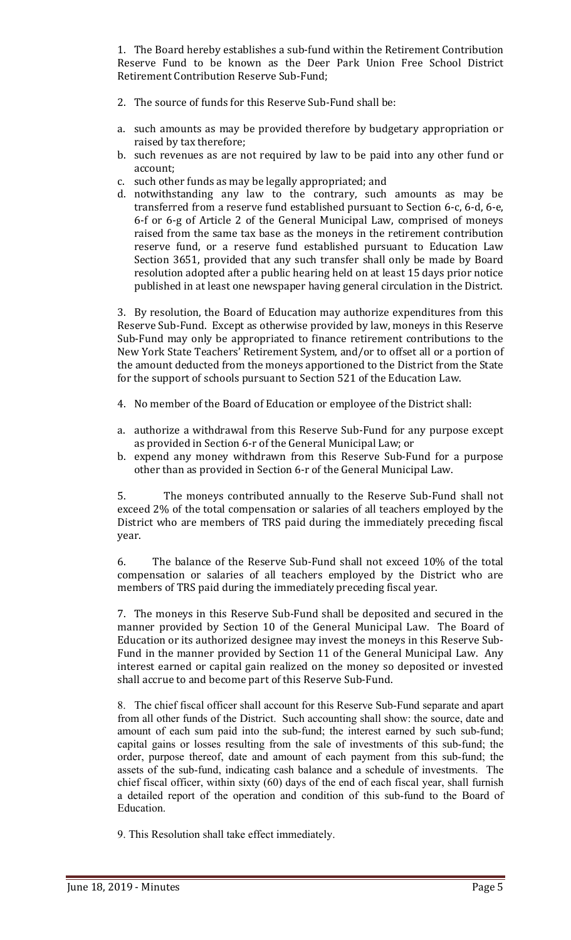1. The Board hereby establishes a sub-fund within the Retirement Contribution Reserve Fund to be known as the Deer Park Union Free School District Retirement Contribution Reserve Sub-Fund;

- 2. The source of funds for this Reserve Sub-Fund shall be:
- a. such amounts as may be provided therefore by budgetary appropriation or raised by tax therefore;
- b. such revenues as are not required by law to be paid into any other fund or account;
- c. such other funds as may be legally appropriated; and
- d. notwithstanding any law to the contrary, such amounts as may be transferred from a reserve fund established pursuant to Section 6-c, 6-d, 6-e, 6-f or 6-g of Article 2 of the General Municipal Law, comprised of moneys raised from the same tax base as the moneys in the retirement contribution reserve fund, or a reserve fund established pursuant to Education Law Section 3651, provided that any such transfer shall only be made by Board resolution adopted after a public hearing held on at least 15 days prior notice published in at least one newspaper having general circulation in the District.

3. By resolution, the Board of Education may authorize expenditures from this Reserve Sub-Fund. Except as otherwise provided by law, moneys in this Reserve Sub-Fund may only be appropriated to finance retirement contributions to the New York State Teachers' Retirement System, and/or to offset all or a portion of the amount deducted from the moneys apportioned to the District from the State for the support of schools pursuant to Section 521 of the Education Law.

- 4. No member of the Board of Education or employee of the District shall:
- a. authorize a withdrawal from this Reserve Sub-Fund for any purpose except as provided in Section 6-r of the General Municipal Law; or
- b. expend any money withdrawn from this Reserve Sub-Fund for a purpose other than as provided in Section 6-r of the General Municipal Law.

5. The moneys contributed annually to the Reserve Sub-Fund shall not exceed 2% of the total compensation or salaries of all teachers employed by the District who are members of TRS paid during the immediately preceding fiscal year.

6. The balance of the Reserve Sub-Fund shall not exceed 10% of the total compensation or salaries of all teachers employed by the District who are members of TRS paid during the immediately preceding fiscal year.

7. The moneys in this Reserve Sub-Fund shall be deposited and secured in the manner provided by Section 10 of the General Municipal Law. The Board of Education or its authorized designee may invest the moneys in this Reserve Sub-Fund in the manner provided by Section 11 of the General Municipal Law. Any interest earned or capital gain realized on the money so deposited or invested shall accrue to and become part of this Reserve Sub-Fund.

8. The chief fiscal officer shall account for this Reserve Sub-Fund separate and apart from all other funds of the District. Such accounting shall show: the source, date and amount of each sum paid into the sub-fund; the interest earned by such sub-fund; capital gains or losses resulting from the sale of investments of this sub-fund; the order, purpose thereof, date and amount of each payment from this sub-fund; the assets of the sub-fund, indicating cash balance and a schedule of investments. The chief fiscal officer, within sixty (60) days of the end of each fiscal year, shall furnish a detailed report of the operation and condition of this sub-fund to the Board of Education.

9. This Resolution shall take effect immediately.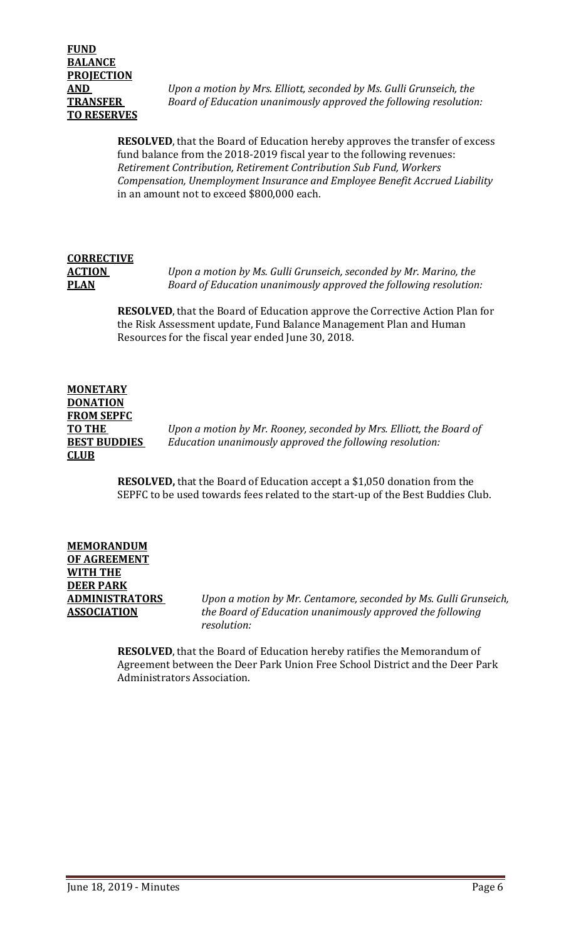**AND** *Upon a motion by Mrs. Elliott, seconded by Ms. Gulli Grunseich, the*  **TRANSFER** *Board of Education unanimously approved the following resolution:*

> **RESOLVED**, that the Board of Education hereby approves the transfer of excess fund balance from the 2018-2019 fiscal year to the following revenues: *Retirement Contribution, Retirement Contribution Sub Fund, Workers Compensation, Unemployment Insurance and Employee Benefit Accrued Liability* in an amount not to exceed \$800,000 each.

# **CORRECTIVE**

**ACTION** *Upon a motion by Ms. Gulli Grunseich, seconded by Mr. Marino, the* **PLAN** *Board of Education unanimously approved the following resolution:*

> **RESOLVED**, that the Board of Education approve the Corrective Action Plan for the Risk Assessment update, Fund Balance Management Plan and Human Resources for the fiscal year ended June 30, 2018.

# **MONETARY DONATION FROM SEPFC CLUB**

**TO THE** *Upon a motion by Mr. Rooney, seconded by Mrs. Elliott, the Board of Education unanimously approved the following resolution:* 

> **RESOLVED,** that the Board of Education accept a \$1,050 donation from the SEPFC to be used towards fees related to the start-up of the Best Buddies Club.

# **MEMORANDUM OF AGREEMENT WITH THE DEER PARK**

**ADMINISTRATORS** *Upon a motion by Mr. Centamore, seconded by Ms. Gulli Grunseich,* **ASSOCIATION** *the Board of Education unanimously approved the following resolution:*

> **RESOLVED**, that the Board of Education hereby ratifies the Memorandum of Agreement between the Deer Park Union Free School District and the Deer Park Administrators Association.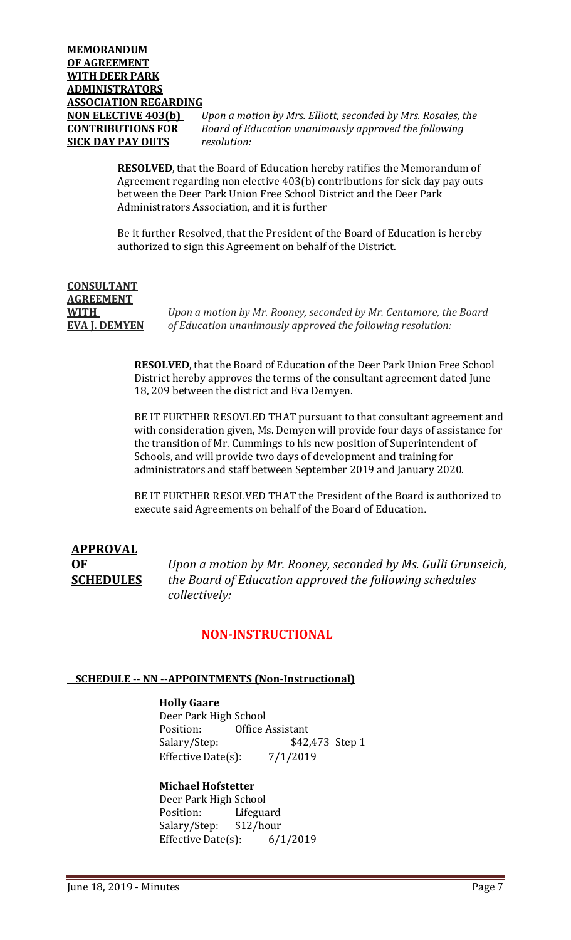**NON ELECTIVE 403(b)** *Upon a motion by Mrs. Elliott, seconded by Mrs. Rosales, the*  **CONTRIBUTIONS FOR** *Board of Education unanimously approved the following* 

> **RESOLVED**, that the Board of Education hereby ratifies the Memorandum of Agreement regarding non elective 403(b) contributions for sick day pay outs between the Deer Park Union Free School District and the Deer Park Administrators Association, and it is further

> Be it further Resolved, that the President of the Board of Education is hereby authorized to sign this Agreement on behalf of the District.

**CONSULTANT AGREEMENT** 

**WITH** *Upon a motion by Mr. Rooney, seconded by Mr. Centamore, the Board*  **EVA J. DEMYEN** *of Education unanimously approved the following resolution:*

> **RESOLVED**, that the Board of Education of the Deer Park Union Free School District hereby approves the terms of the consultant agreement dated June 18, 209 between the district and Eva Demyen.

BE IT FURTHER RESOVLED THAT pursuant to that consultant agreement and with consideration given, Ms. Demyen will provide four days of assistance for the transition of Mr. Cummings to his new position of Superintendent of Schools, and will provide two days of development and training for administrators and staff between September 2019 and January 2020.

BE IT FURTHER RESOLVED THAT the President of the Board is authorized to execute said Agreements on behalf of the Board of Education.

# **APPROVAL**

**OF** *Upon a motion by Mr. Rooney, seconded by Ms. Gulli Grunseich,* **SCHEDULES** *the Board of Education approved the following schedules collectively:*

# **NON-INSTRUCTIONAL**

#### **SCHEDULE -- NN --APPOINTMENTS (Non-Instructional)**

**Holly Gaare** Deer Park High School<br>Position: Office Position: Office Assistant<br>Salary/Step: \$42, \$42,473 Step 1 Effective Date $(s)$ : 7/1/2019

## **Michael Hofstetter**

Deer Park High School<br>Position: Lifegua Lifeguard<br>\$12/hour Salary/Step: \$12/hour<br>Effective Date(s): 6/1/2019 Effective Date $(s)$ :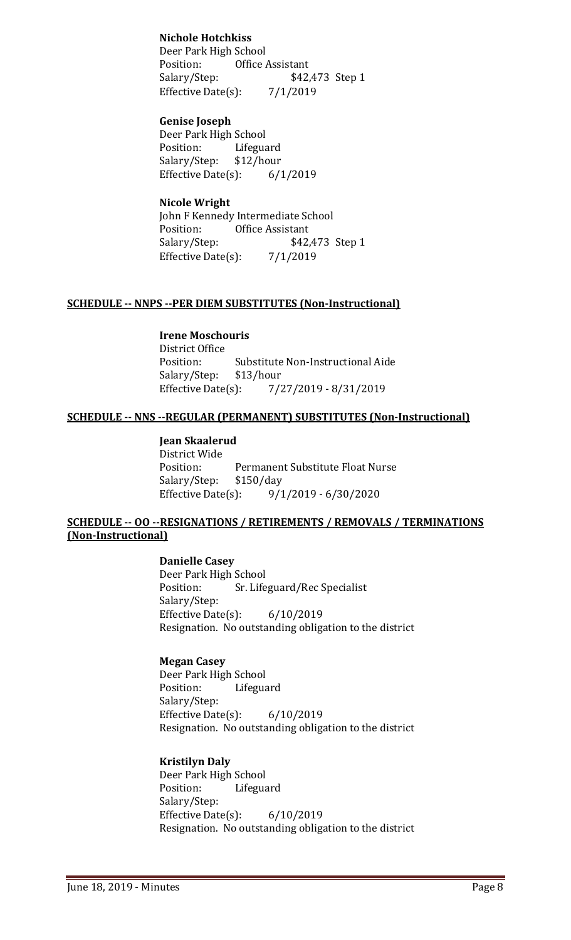**Nichole Hotchkiss** Deer Park High School<br>Position: Office **Office Assistant** Salary/Step: \$42,473 Step 1 Effective Date(s):  $7/1/2019$ 

**Genise Joseph** Deer Park High School<br>Position: Lifegua Lifeguard<br>\$12/hour Salary/Step: Effective Date(s): 6/1/2019

## **Nicole Wright**

John F Kennedy Intermediate School<br>Position: Office Assistant Position: Office Assistant<br>Salary/Step: \$42, \$42,473 Step 1 Effective Date(s):  $7/1/2019$ 

#### **SCHEDULE -- NNPS --PER DIEM SUBSTITUTES (Non-Instructional)**

**Irene Moschouris**

District Office<br>Position: Substitute Non-Instructional Aide<br>\$13/hour Salary/Step: \$1<br>Effective Date(s): Effective Date(s): 7/27/2019 - 8/31/2019

#### **SCHEDULE -- NNS --REGULAR (PERMANENT) SUBSTITUTES (Non-Instructional)**

#### **Jean Skaalerud**

District Wide Permanent Substitute Float Nurse<br>\$150/day Salary/Step: \$1<br>Effective Date(s): Effective Date(s): 9/1/2019 - 6/30/2020

#### **SCHEDULE -- OO --RESIGNATIONS / RETIREMENTS / REMOVALS / TERMINATIONS (Non-Instructional)**

#### **Danielle Casey**

Deer Park High School<br>Position: Sr. Life Sr. Lifeguard/Rec Specialist Salary/Step: Effective Date(s): 6/10/2019 Resignation. No outstanding obligation to the district

#### **Megan Casey**

Deer Park High School<br>Position: Lifegua Lifeguard Salary/Step: Effective Date $(s)$ : 6/10/2019 Resignation. No outstanding obligation to the district

#### **Kristilyn Daly**

Deer Park High School<br>Position: Lifegua Lifeguard Salary/Step: Effective Date(s): 6/10/2019 Resignation. No outstanding obligation to the district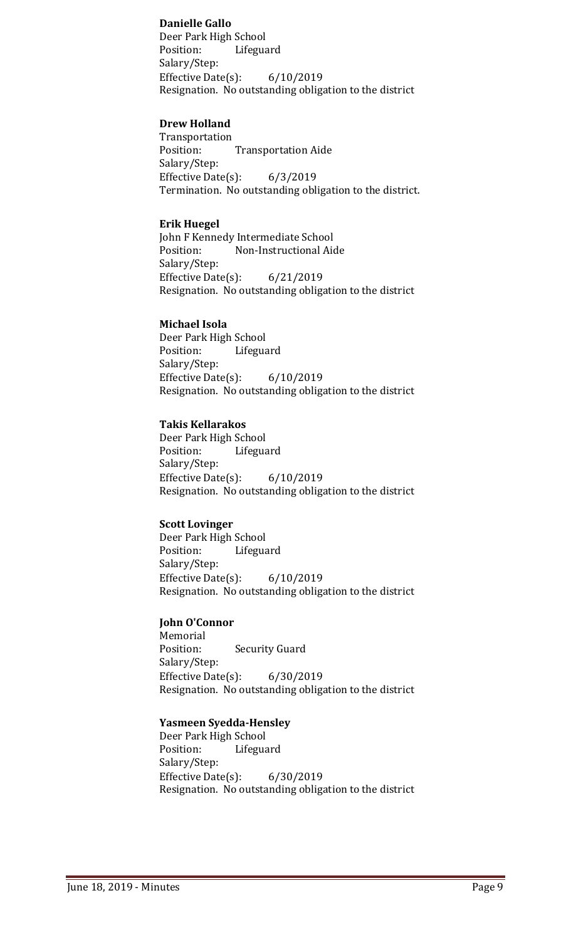#### **Danielle Gallo**

Deer Park High School<br>Position: Lifegua Lifeguard Salary/Step: Effective Date(s): 6/10/2019 Resignation. No outstanding obligation to the district

#### **Drew Holland**

Transportation **Transportation Aide** Salary/Step: Effective Date(s): 6/3/2019 Termination. No outstanding obligation to the district.

#### **Erik Huegel**

John F Kennedy Intermediate School<br>Position: Non-Instructional Aid Non-Instructional Aide Salary/Step: Effective Date(s): 6/21/2019 Resignation. No outstanding obligation to the district

#### **Michael Isola**

Deer Park High School<br>Position: Lifegua Lifeguard Salary/Step: Effective Date(s): 6/10/2019 Resignation. No outstanding obligation to the district

#### **Takis Kellarakos**

Deer Park High School<br>Position: Lifegua Lifeguard Salary/Step: Effective Date(s): 6/10/2019 Resignation. No outstanding obligation to the district

#### **Scott Lovinger**

Deer Park High School<br>Position: Lifegua Lifeguard Salary/Step: Effective Date(s): 6/10/2019 Resignation. No outstanding obligation to the district

#### **John O'Connor**

Memorial<br>Position: **Security Guard** Salary/Step: Effective Date(s): 6/30/2019 Resignation. No outstanding obligation to the district

#### **Yasmeen Syedda-Hensley**

Deer Park High School<br>Position: Lifegua Lifeguard Salary/Step: Effective Date $(s)$ : 6/30/2019 Resignation. No outstanding obligation to the district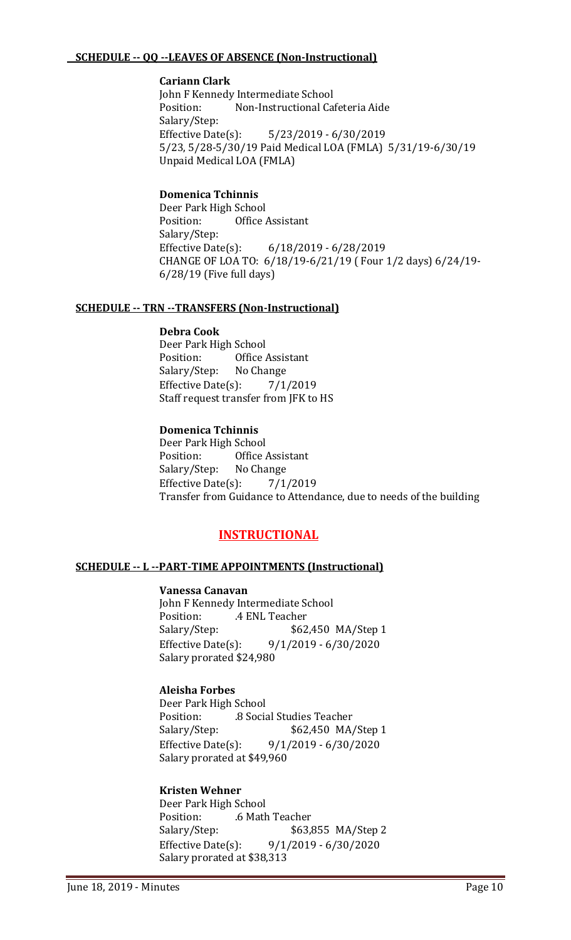#### **SCHEDULE -- QQ --LEAVES OF ABSENCE (Non-Instructional)**

#### **Cariann Clark**

John F Kennedy Intermediate School<br>Position: Non-Instructional Ca Non-Instructional Cafeteria Aide Salary/Step:<br>Effective Date(s): Effective Date(s): 5/23/2019 - 6/30/2019 5/23, 5/28-5/30/19 Paid Medical LOA (FMLA) 5/31/19-6/30/19 Unpaid Medical LOA (FMLA)

#### **Domenica Tchinnis**

Deer Park High School<br>Position: Office **Office Assistant** Salary/Step: Effective Date(s): 6/18/2019 - 6/28/2019 CHANGE OF LOA TO: 6/18/19-6/21/19 ( Four 1/2 days) 6/24/19- 6/28/19 (Five full days)

#### **SCHEDULE -- TRN --TRANSFERS (Non-Instructional)**

#### **Debra Cook**

Deer Park High School<br>Position: Office Office Assistant<br>No Change Salary/Step: Effective Date $(s)$ : 7/1/2019 Staff request transfer from JFK to HS

#### **Domenica Tchinnis**

Deer Park High School<br>Position: Office Office Assistant<br>No Change Salary/Step: No Change<br>Effective Date(s): 7/1/2019 Effective Date $(s)$ : Transfer from Guidance to Attendance, due to needs of the building

# **INSTRUCTIONAL**

#### **SCHEDULE -- L --PART-TIME APPOINTMENTS (Instructional)**

#### **Vanessa Canavan**

John F Kennedy Intermediate School<br>Position: . 4 ENL Teacher Position: .4 ENL Teacher<br>Salary/Step: \$62 \$62,450 MA/Step 1 Effective Date(s): 9/1/2019 - 6/30/2020 Salary prorated \$24,980

#### **Aleisha Forbes**

Deer Park High School<br>Position: .8 Socia Position: .8 Social Studies Teacher<br>Salary/Step: .62,450 MA \$62,450 MA/Step 1 Effective Date(s): 9/1/2019 - 6/30/2020 Salary prorated at \$49,960

#### **Kristen Wehner**

Deer Park High School Position: .6 Math Teacher<br>Salary/Step: \$63,8 Salary/Step: \$63,855 MA/Step 2<br>Effective Date(s): 9/1/2019 - 6/30/2020 Effective Date(s): 9/1/2019 - 6/30/2020 Salary prorated at \$38,313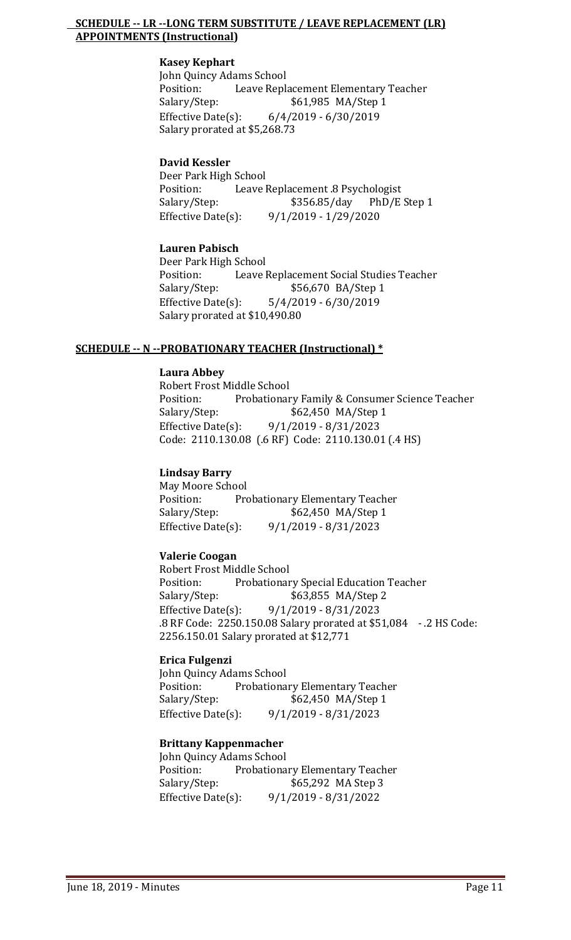#### **SCHEDULE -- LR --LONG TERM SUBSTITUTE / LEAVE REPLACEMENT (LR) APPOINTMENTS (Instructional)**

#### **Kasey Kephart**

John Quincy Adams School<br>Position: Leave Repla Position: Leave Replacement Elementary Teacher<br>Salary/Step: \$61,985 MA/Step 1 \$61,985 MA/Step 1 Effective Date(s): 6/4/2019 - 6/30/2019 Salary prorated at \$5,268.73

#### **David Kessler**

Deer Park High School<br>Position: Leave l Position: Leave Replacement .8 Psychologist<br>Salary/Step: \$356.85/day PhD/E Step 1 Salary/Step: \$356.85/day<br>Effective Date(s): 9/1/2019 - 1/29/ Effective Date(s): 9/1/2019 - 1/29/2020

#### **Lauren Pabisch**

Deer Park High School<br>Position: Leave Position: Leave Replacement Social Studies Teacher<br>Salary/Step: \$56,670 BA/Step 1 Salary/Step: \$56,670 BA/Step 1<br>Effective Date(s): 5/4/2019 - 6/30/2019  $5/4/2019 - 6/30/2019$ Salary prorated at \$10,490.80

#### **SCHEDULE -- N --PROBATIONARY TEACHER (Instructional) \***

#### **Laura Abbey**

Robert Frost Middle School Position: Probationary Family & Consumer Science Teacher<br>Salary/Step: \$62,450 MA/Step 1 \$62,450 MA/Step 1 Effective Date(s): 9/1/2019 - 8/31/2023 Code: 2110.130.08 (.6 RF) Code: 2110.130.01 (.4 HS)

#### **Lindsay Barry**

May Moore School<br>Position: Pro Position: Probationary Elementary Teacher<br>Salary/Step: \$62,450 MA/Step 1 \$62,450 MA/Step 1 Effective Date(s): 9/1/2019 - 8/31/2023

#### **Valerie Coogan**

Robert Frost Middle School Position: Probationary Special Education Teacher<br>Salary/Step: \$63,855 MA/Step 2 \$63,855 MA/Step 2 Effective Date(s): 9/1/2019 - 8/31/2023 .8 RF Code: 2250.150.08 Salary prorated at \$51,084 - .2 HS Code: 2256.150.01 Salary prorated at \$12,771

#### **Erica Fulgenzi**

John Quincy Adams School Position: Probationary Elementary Teacher<br>Salary/Step: \$62,450 MA/Step 1 \$62,450 MA/Step 1 Effective Date(s): 9/1/2019 - 8/31/2023

#### **Brittany Kappenmacher**

John Quincy Adams School<br>Position: Probationa Position: Probationary Elementary Teacher<br>Salary/Step: \$65,292 MA Step 3 \$65,292 MA Step 3 Effective Date(s): 9/1/2019 - 8/31/2022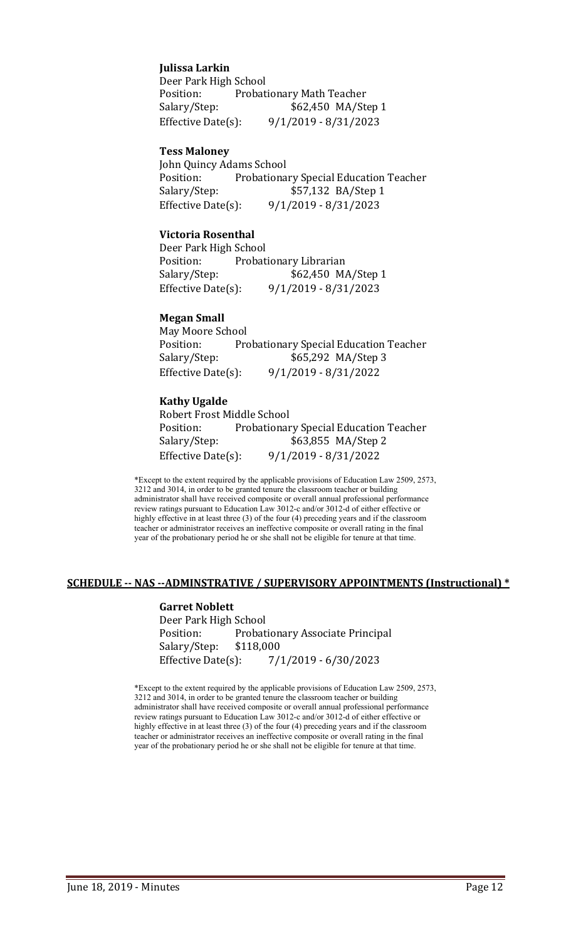#### **Julissa Larkin**

Deer Park High School<br>Position: Probat Position: Probationary Math Teacher<br>Salary/Step: \$62,450 MA/St \$62,450 MA/Step 1 Effective Date(s): 9/1/2019 - 8/31/2023

#### **Tess Maloney**

John Quincy Adams School<br>Position: Probationa Position: Probationary Special Education Teacher<br>Salary/Step: \$57,132 BA/Step 1 \$57,132 BA/Step 1 Effective Date(s): 9/1/2019 - 8/31/2023

#### **Victoria Rosenthal**

Deer Park High School Position: Probationary Librarian<br>Salary/Step: \$62,450 M \$62,450 MA/Step 1 Effective Date(s): 9/1/2019 - 8/31/2023

#### **Megan Small**

May Moore School Position: Probationary Special Education Teacher<br>Salary/Step: \$65,292 MA/Step 3 \$65,292 MA/Step 3 Effective Date(s): 9/1/2019 - 8/31/2022

#### **Kathy Ugalde**

Robert Frost Middle School<br>Position: Probationar Position: Probationary Special Education Teacher<br>Salary/Step: \$63,855 MA/Step 2 \$63,855 MA/Step 2 Effective Date(s): 9/1/2019 - 8/31/2022

\*Except to the extent required by the applicable provisions of Education Law 2509, 2573, 3212 and 3014, in order to be granted tenure the classroom teacher or building administrator shall have received composite or overall annual professional performance review ratings pursuant to Education Law 3012-c and/or 3012-d of either effective or highly effective in at least three (3) of the four (4) preceding years and if the classroom teacher or administrator receives an ineffective composite or overall rating in the final year of the probationary period he or she shall not be eligible for tenure at that time.

#### **SCHEDULE -- NAS --ADMINSTRATIVE / SUPERVISORY APPOINTMENTS (Instructional) \***

#### **Garret Noblett** Deer Park High School Probationary Associate Principal<br>\$118,000 Salary/Step: Effective Date(s): 7/1/2019 - 6/30/2023

\*Except to the extent required by the applicable provisions of Education Law 2509, 2573, 3212 and 3014, in order to be granted tenure the classroom teacher or building administrator shall have received composite or overall annual professional performance review ratings pursuant to Education Law 3012-c and/or 3012-d of either effective or highly effective in at least three (3) of the four (4) preceding years and if the classroom teacher or administrator receives an ineffective composite or overall rating in the final year of the probationary period he or she shall not be eligible for tenure at that time.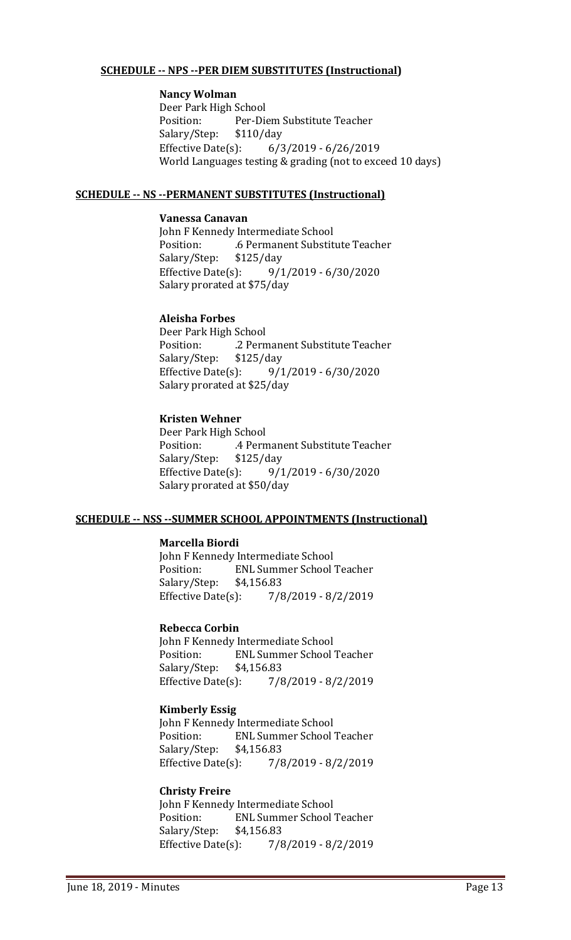#### **SCHEDULE -- NPS --PER DIEM SUBSTITUTES (Instructional)**

#### **Nancy Wolman**

Deer Park High School<br>Position: Per-Dio Per-Diem Substitute Teacher<br>\$110/day Salary/Step: \$1<br>Effective Date(s):  $6/3/2019 - 6/26/2019$ World Languages testing & grading (not to exceed 10 days)

#### **SCHEDULE -- NS --PERMANENT SUBSTITUTES (Instructional)**

#### **Vanessa Canavan**

John F Kennedy Intermediate School .6 Permanent Substitute Teacher<br>\$125/day Salary/Step: Effective Date(s): 9/1/2019 - 6/30/2020 Salary prorated at \$75/day

#### **Aleisha Forbes**

Deer Park High School .2 Permanent Substitute Teacher<br>\$125/day Salary/Step: Effective Date(s): 9/1/2019 - 6/30/2020 Salary prorated at \$25/day

#### **Kristen Wehner**

Deer Park High School .4 Permanent Substitute Teacher<br>\$125/day Salary/Step: Effective Date(s): 9/1/2019 - 6/30/2020 Salary prorated at \$50/day

#### **SCHEDULE -- NSS --SUMMER SCHOOL APPOINTMENTS (Instructional)**

#### **Marcella Biordi**

John F Kennedy Intermediate School<br>Position: ENL Summer School ENL Summer School Teacher<br>\$4.156.83 Salary/Step: \$4<br>Effective Date(s):  $7/8/2019 - 8/2/2019$ 

#### **Rebecca Corbin**

John F Kennedy Intermediate School<br>Position: FNL Summer School **ENL Summer School Teacher** Salary/Step: \$4,156.83<br>Effective Date(s): 7/8  $7/8/2019 - 8/2/2019$ 

#### **Kimberly Essig**

John F Kennedy Intermediate School ENL Summer School Teacher<br>\$4,156.83 Salary/Step: \$4<br>Effective Date(s):  $7/8/2019 - 8/2/2019$ 

#### **Christy Freire**

John F Kennedy Intermediate School<br>Position: ENL Summer School ENL Summer School Teacher<br>\$4.156.83 Salary/Step: Effective Date(s): 7/8/2019 - 8/2/2019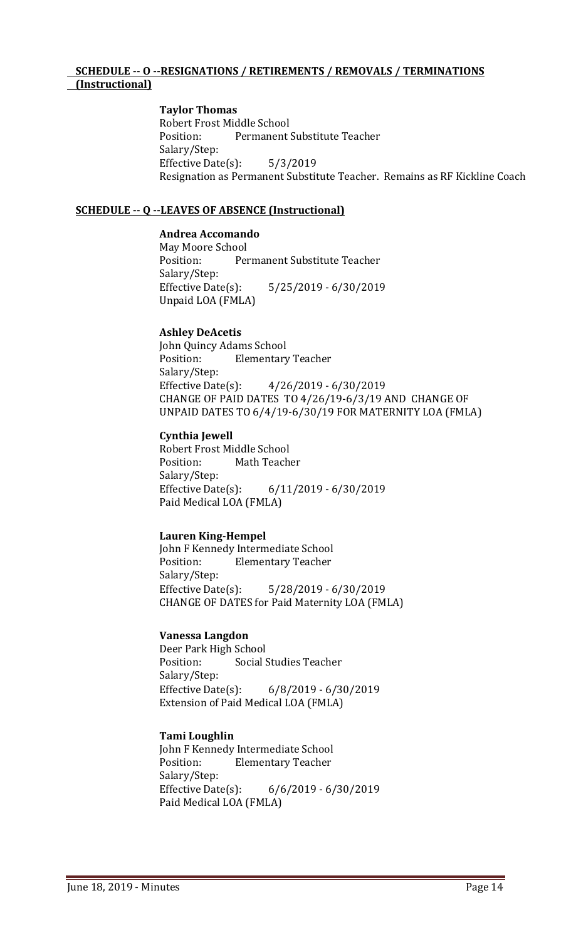#### **SCHEDULE -- O --RESIGNATIONS / RETIREMENTS / REMOVALS / TERMINATIONS (Instructional)**

#### **Taylor Thomas**

Robert Frost Middle School<br>Position: Permanent Permanent Substitute Teacher Salary/Step: Effective Date(s): 5/3/2019 Resignation as Permanent Substitute Teacher. Remains as RF Kickline Coach

#### **SCHEDULE -- Q --LEAVES OF ABSENCE (Instructional)**

#### **Andrea Accomando**

May Moore School<br>Position: Per Permanent Substitute Teacher Salary/Step:<br>Effective Date(s): Effective Date(s): 5/25/2019 - 6/30/2019 Unpaid LOA (FMLA)

#### **Ashley DeAcetis**

John Quincy Adams School<br>Position: Elementary **Elementary Teacher** Salary/Step:<br>Effective Date(s): Effective Date(s): 4/26/2019 - 6/30/2019 CHANGE OF PAID DATES TO 4/26/19-6/3/19 AND CHANGE OF UNPAID DATES TO 6/4/19-6/30/19 FOR MATERNITY LOA (FMLA)

#### **Cynthia Jewell**

Robert Frost Middle School<br>Position: Math Teach Math Teacher Salary/Step:<br>Effective Date(s): Effective Date(s): 6/11/2019 - 6/30/2019 Paid Medical LOA (FMLA)

#### **Lauren King-Hempel**

John F Kennedy Intermediate School<br>Position: Elementary Teacher **Elementary Teacher** Salary/Step: Effective Date(s): 5/28/2019 - 6/30/2019 CHANGE OF DATES for Paid Maternity LOA (FMLA)

#### **Vanessa Langdon**

Deer Park High School<br>Position: Social S Social Studies Teacher Salary/Step:<br>Effective Date(s):  $6/8/2019 - 6/30/2019$ Extension of Paid Medical LOA (FMLA)

#### **Tami Loughlin**

John F Kennedy Intermediate School<br>Position: Flementary Teacher **Elementary Teacher** Salary/Step:<br>Effective Date(s): Effective Date(s): 6/6/2019 - 6/30/2019 Paid Medical LOA (FMLA)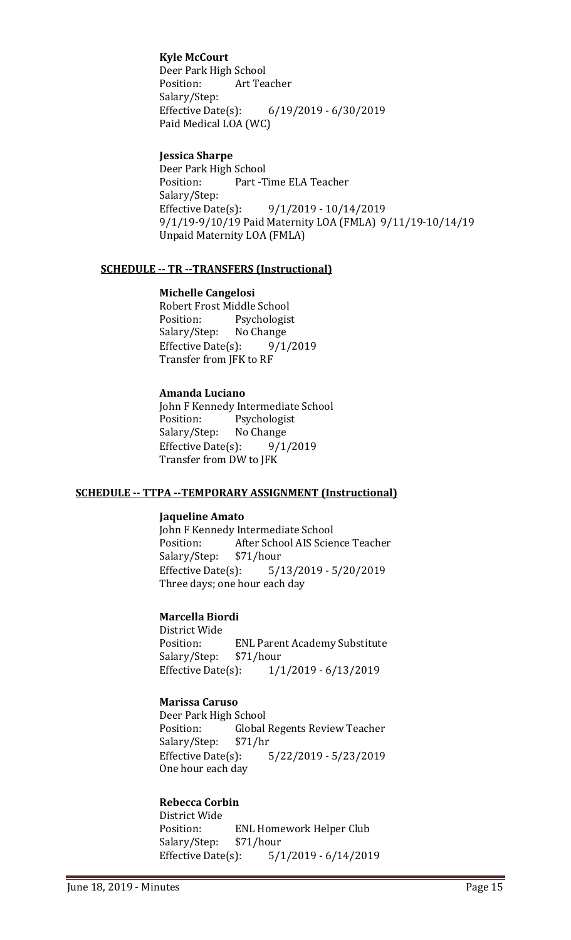#### **Kyle McCourt**

Deer Park High School<br>Position: Art Tea Art Teacher Salary/Step:<br>Effective Date(s): Effective Date(s): 6/19/2019 - 6/30/2019 Paid Medical LOA (WC)

#### **Jessica Sharpe**

Deer Park High School Part -Time ELA Teacher Salary/Step:<br>Effective Date(s): Effective Date(s): 9/1/2019 - 10/14/2019 9/1/19-9/10/19 Paid Maternity LOA (FMLA) 9/11/19-10/14/19 Unpaid Maternity LOA (FMLA)

#### **SCHEDULE -- TR --TRANSFERS (Instructional)**

#### **Michelle Cangelosi**

Robert Frost Middle School<br>Position: Psychologis Psychologist<br>No Change Salary/Step: No Change<br>Effective Date(s): 9/1/2019 Effective Date $(s)$ : Transfer from JFK to RF

#### **Amanda Luciano**

John F Kennedy Intermediate School<br>Position: Psychologist Psychologist<br>No Change Salary/Step: No Change<br>Effective Date(s): 9/1/2019 Effective Date $(s)$ : Transfer from DW to JFK

#### **SCHEDULE -- TTPA --TEMPORARY ASSIGNMENT (Instructional)**

#### **Jaqueline Amato**

John F Kennedy Intermediate School<br>Position: After School AIS Scier After School AIS Science Teacher<br>\$71/hour Salary/Step: Effective Date(s): 5/13/2019 - 5/20/2019 Three days; one hour each day

#### **Marcella Biordi**

District Wide ENL Parent Academy Substitute<br>\$71/hour Salary/Step: \$7<br>Effective Date(s): Effective Date(s): 1/1/2019 - 6/13/2019

#### **Marissa Caruso**

Deer Park High School<br>Position: Global Global Regents Review Teacher<br>\$71/hr Salary/Step: Effective Date(s): 5/22/2019 - 5/23/2019 One hour each day

#### **Rebecca Corbin**

District Wide ENL Homework Helper Club<br>\$71/hour Salary/Step: \$7<br>Effective Date(s):  $5/1/2019 - 6/14/2019$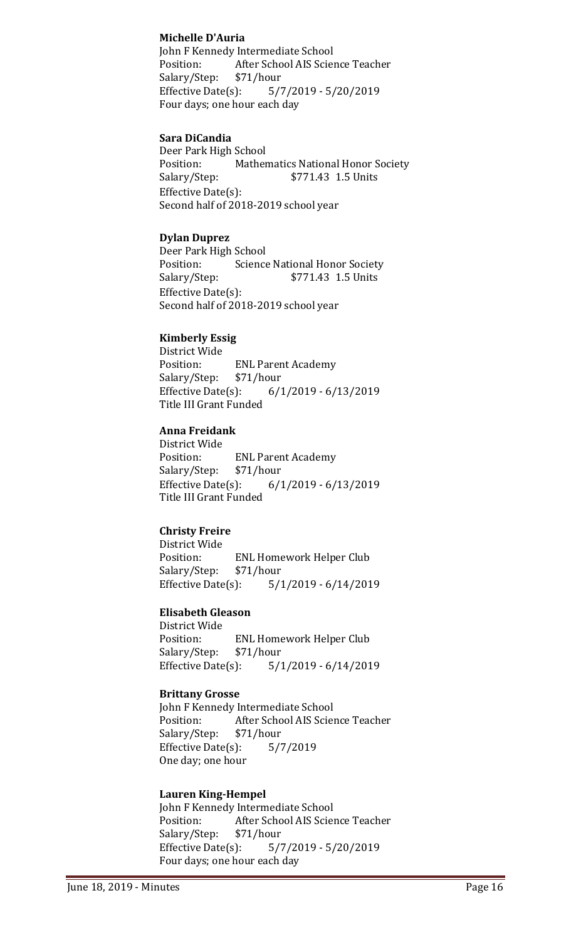#### **Michelle D'Auria**

John F Kennedy Intermediate School<br>Position: After School AIS Scier After School AIS Science Teacher<br>\$71/hour Salary/Step: \$7<br>Effective Date(s): Effective Date(s): 5/7/2019 - 5/20/2019 Four days; one hour each day

#### **Sara DiCandia**

Deer Park High School<br>Position: Mather Position: Mathematics National Honor Society<br>Salary/Step: \$771.43 1.5 Units \$771.43 1.5 Units Effective Date(s): Second half of 2018-2019 school year

#### **Dylan Duprez**

Deer Park High School<br>Position: Science Position: Science National Honor Society<br>Salary/Step: \$771.43 1.5 Units \$771.43 1.5 Units Effective Date(s): Second half of 2018-2019 school year

#### **Kimberly Essig**

District Wide **ENL Parent Academy**<br>\$71/hour Salary/Step: \$7<br>Effective Date(s): Effective Date(s): 6/1/2019 - 6/13/2019 Title III Grant Funded

# **Anna Freidank**

District Wide **ENL Parent Academy**<br>\$71/hour Salary/Step: Effective Date(s): 6/1/2019 - 6/13/2019 Title III Grant Funded

#### **Christy Freire**

District Wide ENL Homework Helper Club<br>\$71/hour Salary/Step: \$7<br>Effective Date(s):  $5/1/2019 - 6/14/2019$ 

#### **Elisabeth Gleason**

District Wide ENL Homework Helper Club<br>\$71/hour Salary/Step: Effective Date(s): 5/1/2019 - 6/14/2019

#### **Brittany Grosse**

John F Kennedy Intermediate School<br>Position: After School AIS Scier After School AIS Science Teacher<br>\$71/hour Salary/Step: \$71/hour<br>Effective Date(s): 5/7/2019 Effective Date $(s)$ : One day; one hour

#### **Lauren King-Hempel**

John F Kennedy Intermediate School<br>Position: After School AIS Scier After School AIS Science Teacher<br>\$71/hour Salary/Step: Effective Date(s): 5/7/2019 - 5/20/2019 Four days; one hour each day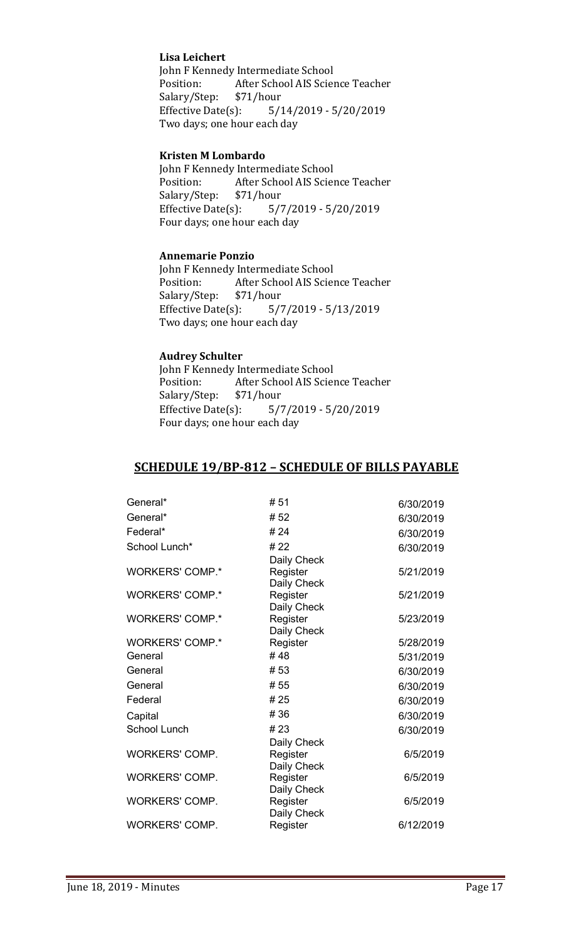#### **Lisa Leichert**

John F Kennedy Intermediate School<br>Position: After School AIS Scier After School AIS Science Teacher<br>\$71/hour Salary/Step: \$7<br>Effective Date(s): Effective Date(s): 5/14/2019 - 5/20/2019 Two days; one hour each day

#### **Kristen M Lombardo**

John F Kennedy Intermediate School<br>Position: After School AIS Scier After School AIS Science Teacher<br>\$71/hour Salary/Step: \$7<br>Effective Date(s):  $5/7/2019 - 5/20/2019$ Four days; one hour each day

#### **Annemarie Ponzio**

John F Kennedy Intermediate School<br>Position: After School AIS Scier After School AIS Science Teacher<br>\$71/hour Salary/Step: \$7<br>Effective Date(s):  $5/7/2019 - 5/13/2019$ Two days; one hour each day

#### **Audrey Schulter**

John F Kennedy Intermediate School<br>Position: After School AIS Scier After School AIS Science Teacher<br>\$71/hour Salary/Step: \$7<br>Effective Date(s):  $5/7/2019 - 5/20/2019$ Four days; one hour each day

## **SCHEDULE 19/BP-812 – SCHEDULE OF BILLS PAYABLE**

| General*               | #51         | 6/30/2019 |
|------------------------|-------------|-----------|
| General*               | #52         | 6/30/2019 |
| Federal*               | #24         | 6/30/2019 |
| School Lunch*          | #22         | 6/30/2019 |
|                        | Daily Check |           |
| <b>WORKERS' COMP.*</b> | Register    | 5/21/2019 |
|                        | Daily Check |           |
| <b>WORKERS' COMP.*</b> | Register    | 5/21/2019 |
|                        | Daily Check |           |
| <b>WORKERS' COMP.*</b> | Register    | 5/23/2019 |
|                        | Daily Check |           |
| <b>WORKERS' COMP.*</b> | Register    | 5/28/2019 |
| General                | #48         | 5/31/2019 |
| General                | #53         | 6/30/2019 |
| General                | # 55        | 6/30/2019 |
| Federal                | #25         | 6/30/2019 |
| Capital                | #36         | 6/30/2019 |
| <b>School Lunch</b>    | #23         | 6/30/2019 |
|                        | Daily Check |           |
| <b>WORKERS' COMP.</b>  | Register    | 6/5/2019  |
|                        | Daily Check |           |
| <b>WORKERS' COMP.</b>  | Register    | 6/5/2019  |
|                        | Daily Check |           |
| <b>WORKERS' COMP.</b>  | Register    | 6/5/2019  |
|                        | Daily Check |           |
| <b>WORKERS' COMP.</b>  | Register    | 6/12/2019 |
|                        |             |           |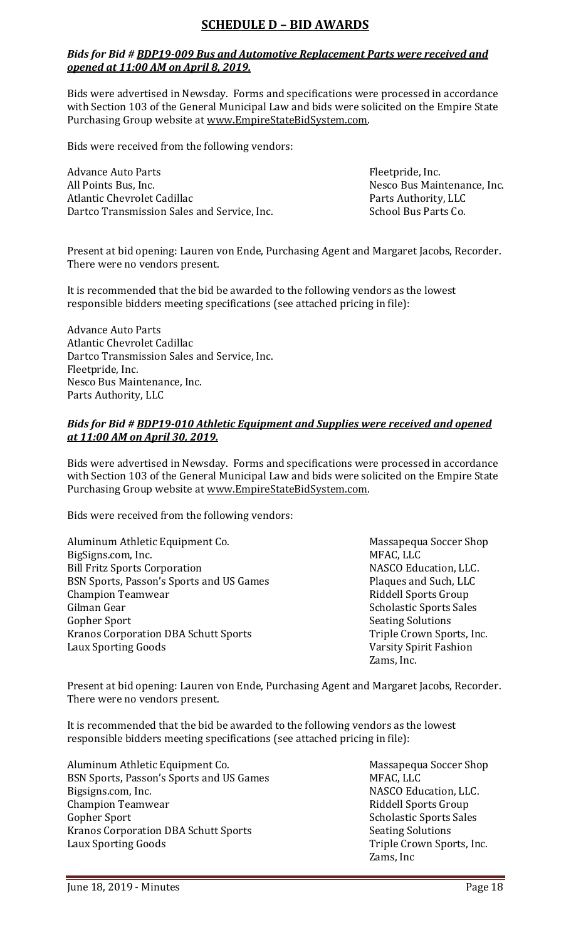# **SCHEDULE D – BID AWARDS**

#### *Bids for Bid # BDP19-009 Bus and Automotive Replacement Parts were received and opened at 11:00 AM on April 8, 2019.*

Bids were advertised in Newsday. Forms and specifications were processed in accordance with Section 103 of the General Municipal Law and bids were solicited on the Empire State Purchasing Group website at [www.EmpireStateBidSystem.com.](http://www.empirestatebidsystem.com/)

Bids were received from the following vendors:

Advance Auto Parts<br>
All Points Bus, Inc.<br>
All Points Bus, Inc. All Points Bus, Inc.<br>Atlantic Chevrolet Cadillac and Cadillac Parts Authority, LLC Dartco Transmission Sales and Service, Inc.

Parts Authority, LLC<br>School Bus Parts Co.

Present at bid opening: Lauren von Ende, Purchasing Agent and Margaret Jacobs, Recorder. There were no vendors present.

It is recommended that the bid be awarded to the following vendors as the lowest responsible bidders meeting specifications (see attached pricing in file):

Advance Auto Parts Atlantic Chevrolet Cadillac Dartco Transmission Sales and Service, Inc. Fleetpride, Inc. Nesco Bus Maintenance, Inc. Parts Authority, LLC

#### *Bids for Bid # BDP19-010 Athletic Equipment and Supplies were received and opened at 11:00 AM on April 30, 2019.*

Bids were advertised in Newsday. Forms and specifications were processed in accordance with Section 103 of the General Municipal Law and bids were solicited on the Empire State Purchasing Group website at [www.EmpireStateBidSystem.com.](http://www.empirestatebidsystem.com/)

Bids were received from the following vendors:

| Aluminum Athletic Equipment Co.             | Massapequ          |
|---------------------------------------------|--------------------|
| BigSigns.com, Inc.                          | MFAC, LLC          |
| <b>Bill Fritz Sports Corporation</b>        | <b>NASCO Edu</b>   |
| BSN Sports, Passon's Sports and US Games    | Plaques an         |
| <b>Champion Teamwear</b>                    | Riddell Spo        |
| Gilman Gear                                 | Scholastic:        |
| Gopher Sport                                | <b>Seating Sol</b> |
| <b>Kranos Corporation DBA Schutt Sports</b> | <b>Triple Croy</b> |
| <b>Laux Sporting Goods</b>                  | <b>Varsity Spi</b> |

Massapequa Soccer Shop<br>MFAC. LLC NASCO Education, LLC. s Blaques and Such, LLC Riddell Sports Group Scholastic Sports Sales **Seating Solutions** Triple Crown Sports, Inc. Varsity Spirit Fashion Zams, Inc.

Present at bid opening: Lauren von Ende, Purchasing Agent and Margaret Jacobs, Recorder. There were no vendors present.

It is recommended that the bid be awarded to the following vendors as the lowest responsible bidders meeting specifications (see attached pricing in file):

Aluminum Athletic Equipment Co.<br>
BSN Sports. Passon's Sports and US Games<br>
MFAC. LLC BSN Sports, Passon's Sports and US Games<br>Bigsigns.com, Inc. Champion Teamwear<br>Gopher Sport Kranos Corporation DBA Schutt Sports<br>Laux Sporting Goods

NASCO Education, LLC.<br>Riddell Sports Group Scholastic Sports Sales<br>Seating Solutions Triple Crown Sports, Inc. Zams, Inc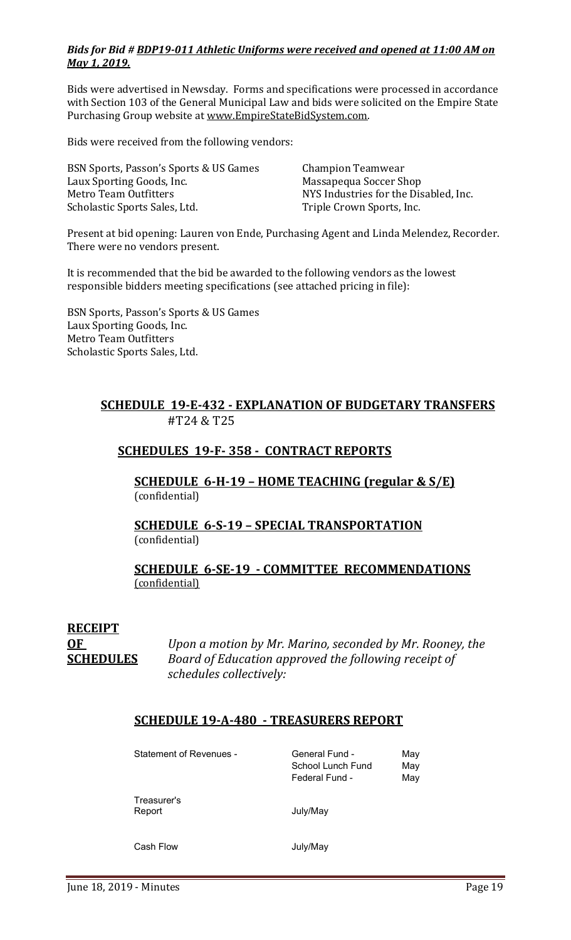#### *Bids for Bid # BDP19-011 Athletic Uniforms were received and opened at 11:00 AM on May 1, 2019.*

Bids were advertised in Newsday. Forms and specifications were processed in accordance with Section 103 of the General Municipal Law and bids were solicited on the Empire State Purchasing Group website at [www.EmpireStateBidSystem.com.](http://www.empirestatebidsystem.com/)

Bids were received from the following vendors:

| BSN Sports, Passon's Sports & US Games | <b>Champion Teamwear</b>              |
|----------------------------------------|---------------------------------------|
| Laux Sporting Goods, Inc.              | Massapequa Soccer Shop                |
| Metro Team Outfitters                  | NYS Industries for the Disabled, Inc. |
| Scholastic Sports Sales, Ltd.          | Triple Crown Sports, Inc.             |

Present at bid opening: Lauren von Ende, Purchasing Agent and Linda Melendez, Recorder. There were no vendors present.

It is recommended that the bid be awarded to the following vendors as the lowest responsible bidders meeting specifications (see attached pricing in file):

BSN Sports, Passon's Sports & US Games Laux Sporting Goods, Inc. Metro Team Outfitters Scholastic Sports Sales, Ltd.

# **SCHEDULE 19-E-432 - EXPLANATION OF BUDGETARY TRANSFERS** #T24 & T25

# **SCHEDULES 19-F- 358 - CONTRACT REPORTS**

**SCHEDULE 6-H-19 – HOME TEACHING (regular & S/E)**  (confidential)

#### **SCHEDULE 6-S-19 – SPECIAL TRANSPORTATION**  (confidential)

#### **SCHEDULE 6-SE-19 - COMMITTEE RECOMMENDATIONS** (confidential)

# **RECEIPT**

**OF** *Upon a motion by Mr. Marino, seconded by Mr. Rooney, the*  **SCHEDULES** *Board of Education approved the following receipt of schedules collectively:*

# **SCHEDULE 19-A-480 - TREASURERS REPORT**

Statement of Revenues - General Fund - May School Lunch Fund May Federal Fund - May Treasurer's Report July/May Cash Flow **Cash Flow** July/May